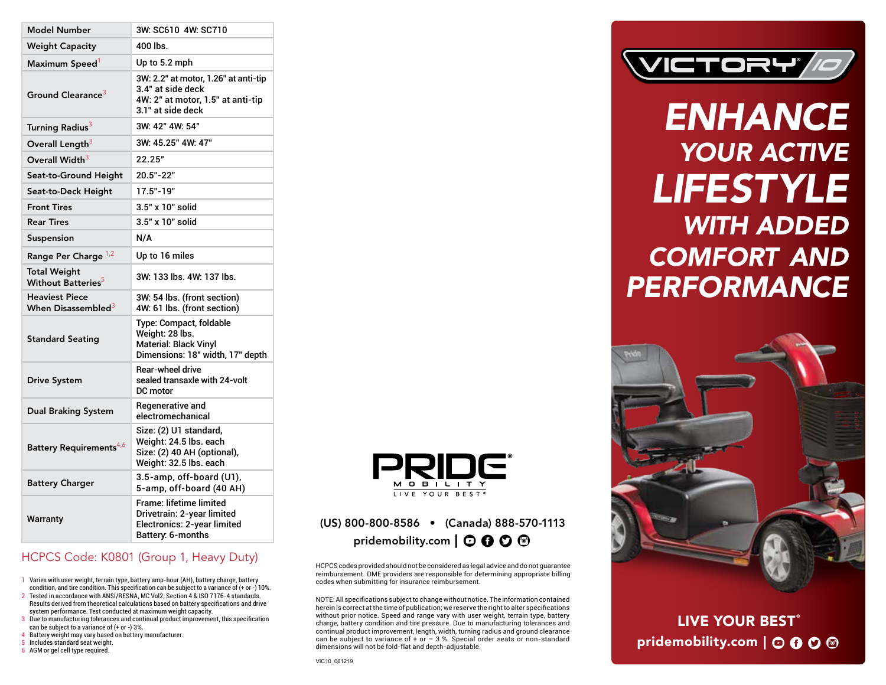| <b>Model Number</b>                                     | 3W: SC610 4W: SC710                                                                                                 |
|---------------------------------------------------------|---------------------------------------------------------------------------------------------------------------------|
| <b>Weight Capacity</b>                                  | $400$ lbs.                                                                                                          |
| Maximum Speed <sup>1</sup>                              | Up to 5.2 mph                                                                                                       |
| Ground Clearance <sup>3</sup>                           | 3W: 2.2" at motor, 1.26" at anti-tip<br>3.4" at side deck<br>4W: 2" at motor, 1.5" at anti-tip<br>3.1" at side deck |
| Turning Radius <sup>3</sup>                             | 3W: 42" 4W: 54"                                                                                                     |
| Overall Length <sup>3</sup>                             | 3W: 45.25" 4W: 47"                                                                                                  |
| Overall Width <sup>3</sup>                              | 22.25"                                                                                                              |
| Seat-to-Ground Height                                   | $20.5" - 22"$                                                                                                       |
| Seat-to-Deck Height                                     | $17.5 - 19$                                                                                                         |
| <b>Front Tires</b>                                      | 3.5" x 10" solid                                                                                                    |
| <b>Rear Tires</b>                                       | 3.5" x 10" solid                                                                                                    |
| Suspension                                              | N/A                                                                                                                 |
| Range Per Charge 1,2                                    | Up to 16 miles                                                                                                      |
| <b>Total Weight</b><br>Without Batteries <sup>5</sup>   | 3W: 133 lbs. 4W: 137 lbs.                                                                                           |
| <b>Heaviest Piece</b><br>When Disassembled <sup>3</sup> | 3W: 54 lbs. (front section)<br>4W: 61 lbs. (front section)                                                          |
| <b>Standard Seating</b>                                 | Type: Compact, foldable<br>Weight: 28 lbs.<br><b>Material: Black Vinyl</b><br>Dimensions: 18" width, 17" depth      |
| <b>Drive System</b>                                     | <b>Rear-wheel drive</b><br>sealed transaxle with 24-volt<br>DC motor                                                |
| Dual Braking System                                     | Regenerative and<br>electromechanical                                                                               |
| Battery Requirements <sup>4,6</sup>                     | Size: (2) U1 standard,<br>Weight: 24.5 lbs. each<br>Size: (2) 40 AH (optional),<br>Weight: 32.5 lbs. each           |
| <b>Battery Charger</b>                                  | 3.5-amp, off-board (U1),<br>5-amp, off-board (40 AH)                                                                |
| Warranty                                                | <b>Frame: lifetime limited</b><br>Drivetrain: 2-year limited<br>Electronics: 2-year limited<br>Battery: 6-months    |

### HCPCS Code: K0801 (Group 1, Heavy Duty)

1 Varies with user weight, terrain type, battery amp-hour (AH), battery charge, battery condition, and tire condition. This specification can be subject to a variance of (+ or -) 10%.

- 2 Tested in accordance with ANSI/RESNA, MC Vol2, Section 4 & ISO 7176-4 standards. Results derived from theoretical calculations based on battery specifications and drive system performance. Test conducted at maximum weight capacity.
- 3 Due to manufacturing tolerances and continual product improvement, this specification can be subject to a variance of (+ or -) 3%.
- 4 Battery weight may vary based on battery manufacturer.
- 5 Includes standard seat weight.
- 6 AGM or gel cell type required.



## (US) 800-800-8586 • (Canada) 888-570-1113 pridemobility.com  $\mathbf{O} \mathbf{O} \mathbf{O} \mathbf{O}$

HCPCS codes provided should not be considered as legal advice and do not guarantee reimbursement. DME providers are responsible for determining appropriate billing codes when submitting for insurance reimbursement.

NOTE: All specifications subject to change without notice. The information contained herein is correct at the time of publication; we reserve the right to alter specifications without prior notice. Speed and range vary with user weight, terrain type, battery charge, battery condition and tire pressure. Due to manufacturing tolerances and continual product improvement, length, width, turning radius and ground clearance can be subject to variance of + or  $-$  3 %. Special order seats or non-standard dimensions will not be fold-flat and depth-adjustable.



# *ENHANCE YOUR ACTIVE LIFESTYLE WITH ADDED COMFORT AND PERFORMANCE*



LIVE YOUR BEST<sup>®</sup> pridemobility.com  $\overline{)$   $\odot$   $\overline{0}$   $\odot$   $\overline{0}$